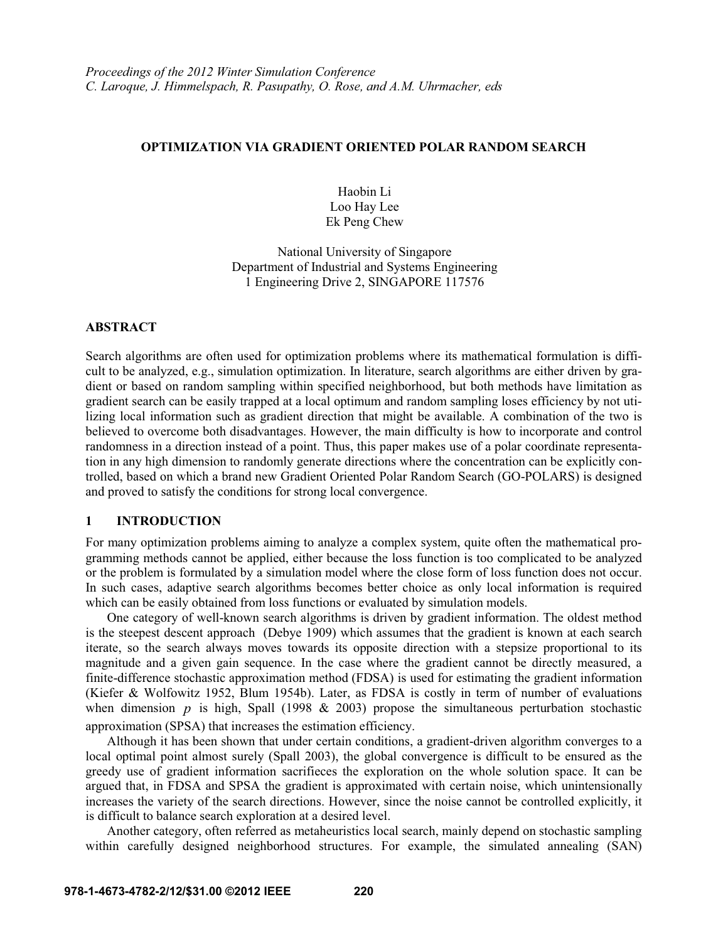# **OPTIMIZATION VIA GRADIENT ORIENTED POLAR RANDOM SEARCH**

Haobin Li Loo Hay Lee Ek Peng Chew

National University of Singapore Department of Industrial and Systems Engineering 1 Engineering Drive 2, SINGAPORE 117576

# **ABSTRACT**

Search algorithms are often used for optimization problems where its mathematical formulation is difficult to be analyzed, e.g., simulation optimization. In literature, search algorithms are either driven by gradient or based on random sampling within specified neighborhood, but both methods have limitation as gradient search can be easily trapped at a local optimum and random sampling loses efficiency by not utilizing local information such as gradient direction that might be available. A combination of the two is believed to overcome both disadvantages. However, the main difficulty is how to incorporate and control randomness in a direction instead of a point. Thus, this paper makes use of a polar coordinate representation in any high dimension to randomly generate directions where the concentration can be explicitly controlled, based on which a brand new Gradient Oriented Polar Random Search (GO-POLARS) is designed and proved to satisfy the conditions for strong local convergence.

# **1 INTRODUCTION**

For many optimization problems aiming to analyze a complex system, quite often the mathematical programming methods cannot be applied, either because the loss function is too complicated to be analyzed or the problem is formulated by a simulation model where the close form of loss function does not occur. In such cases, adaptive search algorithms becomes better choice as only local information is required which can be easily obtained from loss functions or evaluated by simulation models.

One category of well-known search algorithms is driven by gradient information. The oldest method is the steepest descent approach (Debye 1909) which assumes that the gradient is known at each search iterate, so the search always moves towards its opposite direction with a stepsize proportional to its magnitude and a given gain sequence. In the case where the gradient cannot be directly measured, a finite-difference stochastic approximation method (FDSA) is used for estimating the gradient information (Kiefer & Wolfowitz 1952, Blum 1954b). Later, as FDSA is costly in term of number of evaluations when dimension  $p$  is high, Spall (1998 & 2003) propose the simultaneous perturbation stochastic approximation (SPSA) that increases the estimation efficiency.

Although it has been shown that under certain conditions, a gradient-driven algorithm converges to a local optimal point almost surely (Spall 2003), the global convergence is difficult to be ensured as the greedy use of gradient information sacrifieces the exploration on the whole solution space. It can be argued that, in FDSA and SPSA the gradient is approximated with certain noise, which unintensionally increases the variety of the search directions. However, since the noise cannot be controlled explicitly, it is difficult to balance search exploration at a desired level.

Another category, often referred as metaheuristics local search, mainly depend on stochastic sampling within carefully designed neighborhood structures. For example, the simulated annealing (SAN)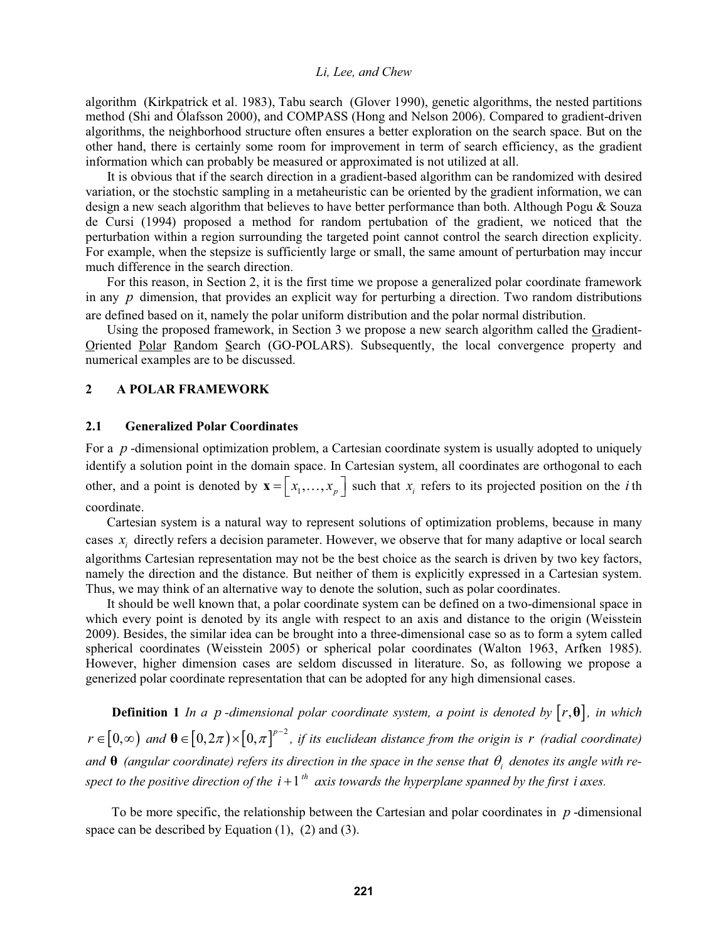algorithm (Kirkpatrick et al. 1983), Tabu search (Glover 1990), genetic algorithms, the nested partitions method (Shi and Ólafsson 2000), and COMPASS (Hong and Nelson 2006). Compared to gradient-driven algorithms, the neighborhood structure often ensures a better exploration on the search space. But on the other hand, there is certainly some room for improvement in term of search efficiency, as the gradient information which can probably be measured or approximated is not utilized at all.

It is obvious that if the search direction in a gradient-based algorithm can be randomized with desired variation, or the stochstic sampling in a metaheuristic can be oriented by the gradient information, we can design a new seach algorithm that believes to have better performance than both. Although Pogu & Souza de Cursi (1994) proposed a method for random pertubation of the gradient, we noticed that the perturbation within a region surrounding the targeted point cannot control the search direction explicity. For example, when the stepsize is sufficiently large or small, the same amount of perturbation may inccur much difference in the search direction.

For this reason, in Section 2, it is the first time we propose a generalized polar coordinate framework in any *p* dimension, that provides an explicit way for perturbing a direction. Two random distributions are defined based on it, namely the polar uniform distribution and the polar normal distribution.

Using the proposed framework, in Section 3 we propose a new search algorithm called the Gradient-Oriented Polar Random Search (GO-POLARS). Subsequently, the local convergence property and numerical examples are to be discussed.

## **2 A POLAR FRAMEWORK**

#### **2.1 Generalized Polar Coordinates**

For a *p* -dimensional optimization problem, a Cartesian coordinate system is usually adopted to uniquely identify a solution point in the domain space. In Cartesian system, all coordinates are orthogonal to each other, and a point is denoted by  $\mathbf{x} = \begin{bmatrix} x_1, \dots, x_p \end{bmatrix}$  such that  $x_i$  refers to its projected position on the *i*th coordinate.

Cartesian system is a natural way to represent solutions of optimization problems, because in many cases  $x_i$  directly refers a decision parameter. However, we observe that for many adaptive or local search algorithms Cartesian representation may not be the best choice as the search is driven by two key factors, namely the direction and the distance. But neither of them is explicitly expressed in a Cartesian system. Thus, we may think of an alternative way to denote the solution, such as polar coordinates.

It should be well known that, a polar coordinate system can be defined on a two-dimensional space in which every point is denoted by its angle with respect to an axis and distance to the origin (Weisstein 2009). Besides, the similar idea can be brought into a three-dimensional case so as to form a sytem called spherical coordinates (Weisstein 2005) or spherical polar coordinates (Walton 1963, Arfken 1985). However, higher dimension cases are seldom discussed in literature. So, as following we propose a generized polar coordinate representation that can be adopted for any high dimensional cases.

**Definition 1** *In a p -dimensional polar coordinate system, a point is denoted by*  $[r, \theta]$ *, in which*  $r \in [0,\infty)$  and  $\theta \in [0,2\pi) \times [0,\pi]^{p-2}$ , if its euclidean distance from the origin is *r* (radial coordinate) and  $\theta$  (angular coordinate) refers its direction in the space in the sense that  $\theta_i$  denotes its angle with re*spect to the positive direction of the i* + 1<sup>*th</sup> axis towards the hyperplane spanned by the first i axes.*</sup>

To be more specific, the relationship between the Cartesian and polar coordinates in *p* -dimensional space can be described by Equation  $(1)$ ,  $(2)$  and  $(3)$ .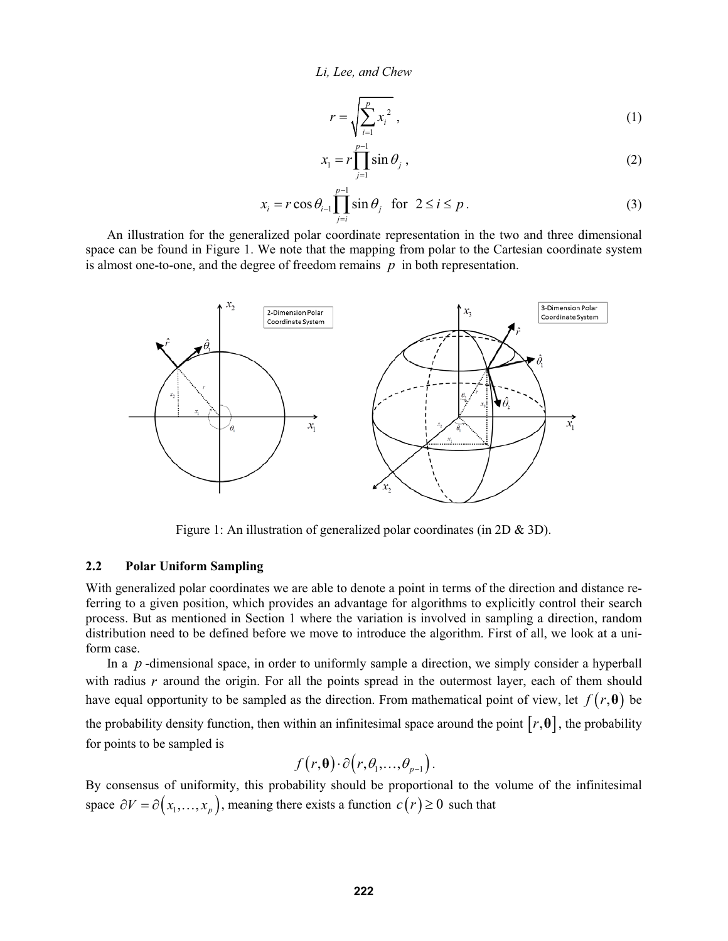$$
r = \sqrt{\sum_{i=1}^{p} x_i^2},
$$
 (1)

$$
x_1 = r \prod_{j=1}^{p-1} \sin \theta_j , \qquad (2)
$$

$$
x_i = r \cos \theta_{i-1} \prod_{j=i}^{p-1} \sin \theta_j \quad \text{for } 2 \le i \le p.
$$
 (3)

An illustration for the generalized polar coordinate representation in the two and three dimensional space can be found in Figure 1. We note that the mapping from polar to the Cartesian coordinate system is almost one-to-one, and the degree of freedom remains *p* in both representation.



Figure 1: An illustration of generalized polar coordinates (in 2D & 3D).

# **2.2 Polar Uniform Sampling**

With generalized polar coordinates we are able to denote a point in terms of the direction and distance referring to a given position, which provides an advantage for algorithms to explicitly control their search process. But as mentioned in Section 1 where the variation is involved in sampling a direction, random distribution need to be defined before we move to introduce the algorithm. First of all, we look at a uniform case.

In a *p*-dimensional space, in order to uniformly sample a direction, we simply consider a hyperball with radius *r* around the origin. For all the points spread in the outermost layer, each of them should have equal opportunity to be sampled as the direction. From mathematical point of view, let  $f(r, \theta)$  be the probability density function, then within an infinitesimal space around the point  $[r, \theta]$ , the probability for points to be sampled is

$$
f(r,\boldsymbol{\theta})\cdot \partial(r,\theta_1,\ldots,\theta_{p-1}).
$$

By consensus of uniformity, this probability should be proportional to the volume of the infinitesimal space  $\partial V = \partial (x_1, ..., x_p)$ , meaning there exists a function  $c(r) \ge 0$  such that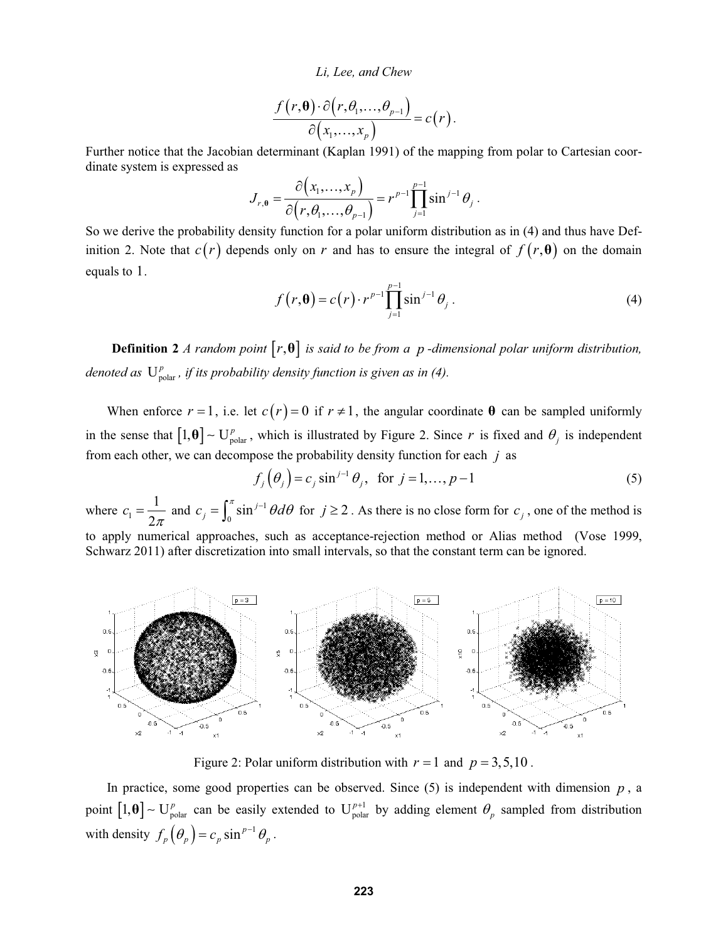$$
\frac{f(r,\mathbf{\theta})\cdot \partial (r,\theta_1,\ldots,\theta_{p-1})}{\partial (x_1,\ldots,x_p)}=c(r).
$$

Further notice that the Jacobian determinant (Kaplan 1991) of the mapping from polar to Cartesian coordinate system is expressed as

$$
J_{r,\theta} = \frac{\partial (x_1,\ldots,x_p)}{\partial (r,\theta_1,\ldots,\theta_{p-1})} = r^{p-1} \prod_{j=1}^{p-1} \sin^{j-1} \theta_j.
$$

So we derive the probability density function for a polar uniform distribution as in (4) and thus have Definition 2. Note that  $c(r)$  depends only on r and has to ensure the integral of  $f(r, \theta)$  on the domain equals to 1.

$$
f(r,\theta) = c(r) \cdot r^{p-1} \prod_{j=1}^{p-1} \sin^{j-1} \theta_j.
$$
 (4)

**Definition 2** *A random point*  $[r, \theta]$  *is said to be from a p-dimensional polar uniform distribution, denoted as*  $U_{\text{polar}}^p$ , *if its probability density function is given as in (4).* 

When enforce  $r = 1$ , i.e. let  $c(r) = 0$  if  $r \ne 1$ , the angular coordinate  $\theta$  can be sampled uniformly in the sense that  $[1, \theta] \sim U_{\text{polar}}^p$ , which is illustrated by Figure 2. Since *r* is fixed and  $\theta_j$  is independent from each other, we can decompose the probability density function for each *j* as

$$
f_j(\theta_j) = c_j \sin^{j-1} \theta_j
$$
, for  $j = 1, ..., p-1$  (5)

where  $c_1$ 1 2  $c_1 = \frac{1}{2\pi}$  and  $c_j = \int_0^{\pi} \sin^{j-1} \theta d\theta$  for  $j \ge 2$ . As there is no close form for  $c_j$ , one of the method is to apply numerical approaches, such as acceptance-rejection method or Alias method (Vose 1999, Schwarz 2011) after discretization into small intervals, so that the constant term can be ignored.



Figure 2: Polar uniform distribution with  $r = 1$  and  $p = 3,5,10$ .

In practice, some good properties can be observed. Since  $(5)$  is independent with dimension  $p$ , a point  $[1, \theta]$  –  $U_{\text{polar}}^p$  can be easily extended to  $U_{\text{polar}}^{p+1}$  by adding element  $\theta_p$  sampled from distribution with density  $f_p(\theta_p) = c_p \sin^{p-1} \theta_p$ .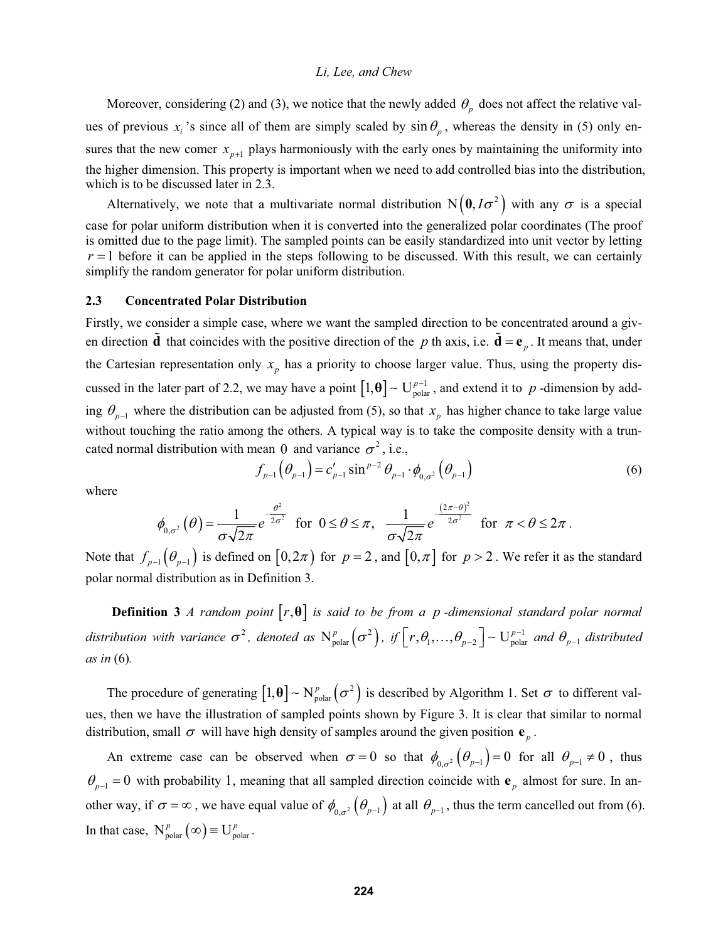Moreover, considering (2) and (3), we notice that the newly added  $\theta_n$  does not affect the relative values of previous  $x_i$  's since all of them are simply scaled by  $\sin \theta_p$ , whereas the density in (5) only ensures that the new comer  $x_{n+1}$  plays harmoniously with the early ones by maintaining the uniformity into the higher dimension. This property is important when we need to add controlled bias into the distribution, which is to be discussed later in 2.3.

Alternatively, we note that a multivariate normal distribution  $N(0, I\sigma^2)$  with any  $\sigma$  is a special case for polar uniform distribution when it is converted into the generalized polar coordinates (The proof is omitted due to the page limit). The sampled points can be easily standardized into unit vector by letting  $r = 1$  before it can be applied in the steps following to be discussed. With this result, we can certainly simplify the random generator for polar uniform distribution.

### **2.3 Concentrated Polar Distribution**

Firstly, we consider a simple case, where we want the sampled direction to be concentrated around a given direction  $\tilde{d}$  that coincides with the positive direction of the *p* th axis, i.e.  $\tilde{d} = e_n$ . It means that, under the Cartesian representation only  $x<sub>p</sub>$  has a priority to choose larger value. Thus, using the property discussed in the later part of 2.2, we may have a point  $[1, \theta] \sim U_{\text{polar}}^{p-1}$ , and extend it to p-dimension by adding  $\theta_{p-1}$  where the distribution can be adjusted from (5), so that  $x_p$  has higher chance to take large value without touching the ratio among the others. A typical way is to take the composite density with a truncated normal distribution with mean 0 and variance  $\sigma^2$ , i.e.,

$$
f_{p-1}(\theta_{p-1}) = c'_{p-1} \sin^{p-2} \theta_{p-1} \cdot \phi_{0,\sigma^2}(\theta_{p-1})
$$
 (6)

where

$$
\phi_{0,\sigma^2}\left(\theta\right) = \frac{1}{\sigma\sqrt{2\pi}}e^{-\frac{\theta^2}{2\sigma^2}} \quad \text{for} \quad 0 \leq \theta \leq \pi, \quad \frac{1}{\sigma\sqrt{2\pi}}e^{-\frac{(2\pi-\theta)^2}{2\sigma^2}} \quad \text{for} \quad \pi < \theta \leq 2\pi.
$$

Note that  $f_{p-1}(\theta_{p-1})$  is defined on  $[0,2\pi)$  for  $p=2$ , and  $[0,\pi]$  for  $p>2$ . We refer it as the standard polar normal distribution as in Definition 3.

**Definition 3** *A random point*  $[r, \theta]$  *is said to be from a p-dimensional standard polar normal* distribution with variance  $\sigma^2$ , denoted as  $N_{polar}^p(\sigma^2)$ , if  $\lceil r, \theta_1, ..., \theta_{p-2} \rceil$   $\sim$   $U_{polar}^{p-1}$  and  $\theta_{p-1}$  distributed *as in* (6)*.*

The procedure of generating  $[1,\theta] \sim N_{\text{polar}}^p(\sigma^2)$  is described by Algorithm 1. Set  $\sigma$  to different values, then we have the illustration of sampled points shown by Figure 3. It is clear that similar to normal distribution, small  $\sigma$  will have high density of samples around the given position  $\mathbf{e}_n$ .

An extreme case can be observed when  $\sigma = 0$  so that  $\phi_{0,\sigma^2}(\theta_{p-1}) = 0$  for all  $\theta_{p-1} \neq 0$ , thus  $\theta_{p-1} = 0$  with probability 1, meaning that all sampled direction coincide with  $\mathbf{e}_p$  almost for sure. In another way, if  $\sigma = \infty$ , we have equal value of  $\phi_{0,\sigma^2}(\theta_{p-1})$  at all  $\theta_{p-1}$ , thus the term cancelled out from (6). In that case,  $N_{\text{polar}}^p$  ( $\infty$ )  $\equiv U_{\text{polar}}^p$ .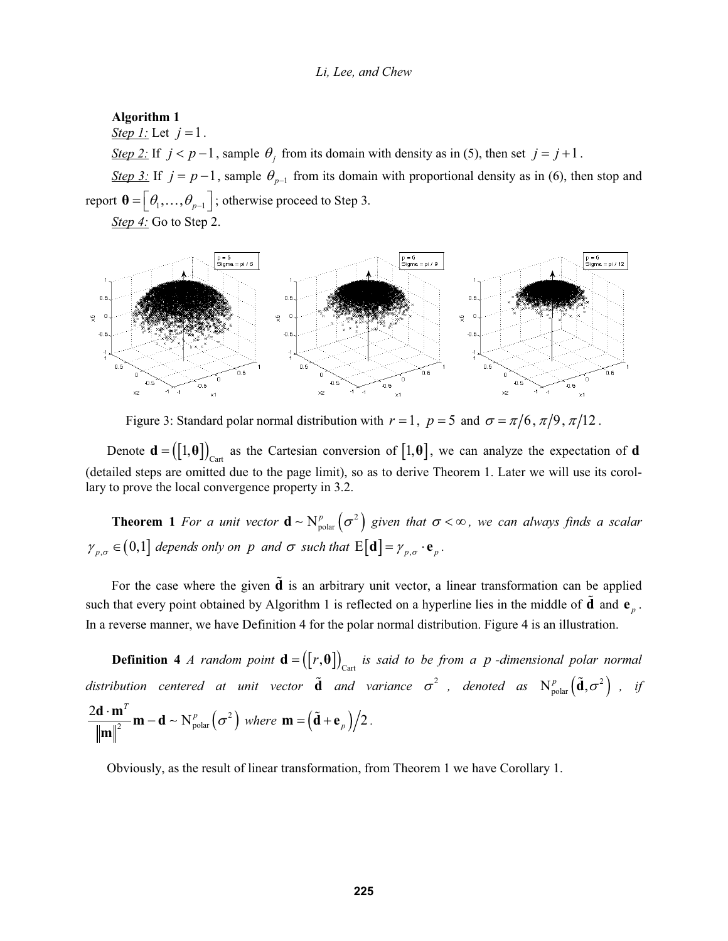# **Algorithm 1**

*<u>Step 1:</u>* Let  $j = 1$ .

*<u>Step 2:</u>* If  $j < p-1$ , sample  $\theta_j$  from its domain with density as in (5), then set  $j = j+1$ .

*Step 3:* If  $j = p-1$ , sample  $\theta_{p-1}$  from its domain with proportional density as in (6), then stop and report  $\boldsymbol{\theta} = \left[ \theta_1, \ldots, \theta_{p-1} \right]$ ; otherwise proceed to Step 3.

*Step 4:* Go to Step 2.



Figure 3: Standard polar normal distribution with  $r = 1$ ,  $p = 5$  and  $\sigma = \pi/6$ ,  $\pi/9$ ,  $\pi/12$ .

Denote  $\mathbf{d} = ([1, \theta])_{\text{Cart}}$  as the Cartesian conversion of  $[1, \theta]$ , we can analyze the expectation of **d** (detailed steps are omitted due to the page limit), so as to derive Theorem 1. Later we will use its corollary to prove the local convergence property in 3.2.

**Theorem 1** For a unit vector  $\mathbf{d} \sim N_{\text{polar}}^p(\sigma^2)$  given that  $\sigma < \infty$ , we can always finds a scalar  $\gamma_{p,\sigma} \in (0,1]$  *depends only on p and*  $\sigma$  *such that*  $E[\mathbf{d}] = \gamma_{p,\sigma} \cdot \mathbf{e}_p$ .

For the case where the given **d** is an arbitrary unit vector, a linear transformation can be applied such that every point obtained by Algorithm 1 is reflected on a hyperline lies in the middle of  $\tilde{d}$  and  $e_n$ . In a reverse manner, we have Definition 4 for the polar normal distribution. Figure 4 is an illustration.

**Definition 4** *A random point*  $\mathbf{d} = (\lfloor r, \theta \rfloor)_{\text{Cart}}$  is said to be from a p-dimensional polar normal distribution centered at unit vector  $\tilde{\textbf{d}}$  and variance  $\sigma^2$  , denoted as  $\text{N}^p_{\text{polar}}\big(\tilde{\textbf{d}},\sigma^2\big)$  , if  $\frac{2\mathbf{d} \cdot \mathbf{m}^T}{\|\mathbf{m}\|^2} \mathbf{m} - \mathbf{d} \sim N_{\text{polar}}^p \left(\sigma^2\right)$  where  $\mathbf{m} = \left(\tilde{\mathbf{d}} + \mathbf{e}_p\right)/2$ .

Obviously, as the result of linear transformation, from Theorem 1 we have Corollary 1.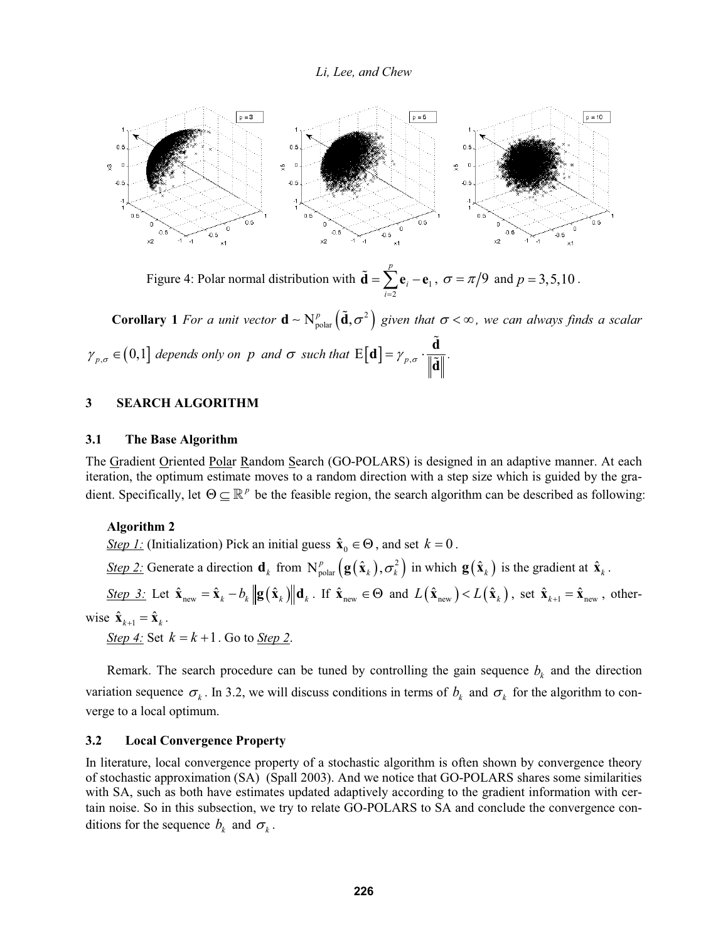

Figure 4: Polar normal distribution with  $\mathbf{d} = \sum \mathbf{e}_i - \mathbf{e}_1$ 2 *p i*  $\sum_{i=2}^{n}$  $\tilde{\mathbf{d}} = \sum_{i=1}^{p} \mathbf{e}_{i} - \mathbf{e}_{1}, \ \sigma = \pi/9 \text{ and } p = 3,5,10$ .

**Corollary** 1 *For a unit vector*  $\mathbf{d} \sim N_{\text{polar}}^p(\tilde{\mathbf{d}}, \sigma^2)$  given that  $\sigma < \infty$ , we can always finds a scalar  $\gamma_{p,\sigma} \in (0,1]$  depends only on p and  $\sigma$  such that  $E[\mathbf{d}] = \gamma_{p,\sigma} \cdot \frac{\mathbf{d}}{\mathbf{d} \mathbf{x}}$ **d**  $\tilde{\text{d}}$  $\frac{1}{\tilde{a}}\frac{1}{\|\cdot\|}$ 

### **3 SEARCH ALGORITHM**

### **3.1 The Base Algorithm**

The Gradient Oriented Polar Random Search (GO-POLARS) is designed in an adaptive manner. At each iteration, the optimum estimate moves to a random direction with a step size which is guided by the gradient. Specifically, let  $\Theta \subseteq \mathbb{R}^p$  be the feasible region, the search algorithm can be described as following:

#### **Algorithm 2**

*<u>Step 1:</u>* (Initialization) Pick an initial guess  $\hat{\mathbf{x}}_0 \in \Theta$ , and set  $k = 0$ .

*Step 2:* Generate a direction  $\mathbf{d}_k$  from  $N_{\text{polar}}^p(\mathbf{g}(\hat{\mathbf{x}}_k), \sigma_k^2)$  in which  $\mathbf{g}(\hat{\mathbf{x}}_k)$  is the gradient at  $\hat{\mathbf{x}}_k$ .

 $\frac{\text{Step 3:}}{\text{Set}}$  Let  $\hat{\mathbf{x}}_{\text{new}} = \hat{\mathbf{x}}_k - b_k \left\| \mathbf{g}(\hat{\mathbf{x}}_k) \right\| \mathbf{d}_k$ . If  $\hat{\mathbf{x}}_{\text{new}} \in \Theta$  and  $L(\hat{\mathbf{x}}_{\text{new}}) < L(\hat{\mathbf{x}}_k)$ , set  $\hat{\mathbf{x}}_{k+1} = \hat{\mathbf{x}}_{\text{new}}$ , otherwise  $\hat{\mathbf{x}}_{k+1} = \hat{\mathbf{x}}_k$ .

*Step 4:* Set  $k = k + 1$ . Go to *Step 2*.

Remark. The search procedure can be tuned by controlling the gain sequence  $b_k$  and the direction variation sequence  $\sigma_k$ . In 3.2, we will discuss conditions in terms of  $b_k$  and  $\sigma_k$  for the algorithm to converge to a local optimum.

# **3.2 Local Convergence Property**

In literature, local convergence property of a stochastic algorithm is often shown by convergence theory of stochastic approximation (SA) (Spall 2003). And we notice that GO-POLARS shares some similarities with SA, such as both have estimates updated adaptively according to the gradient information with certain noise. So in this subsection, we try to relate GO-POLARS to SA and conclude the convergence conditions for the sequence  $b_k$  and  $\sigma_k$ .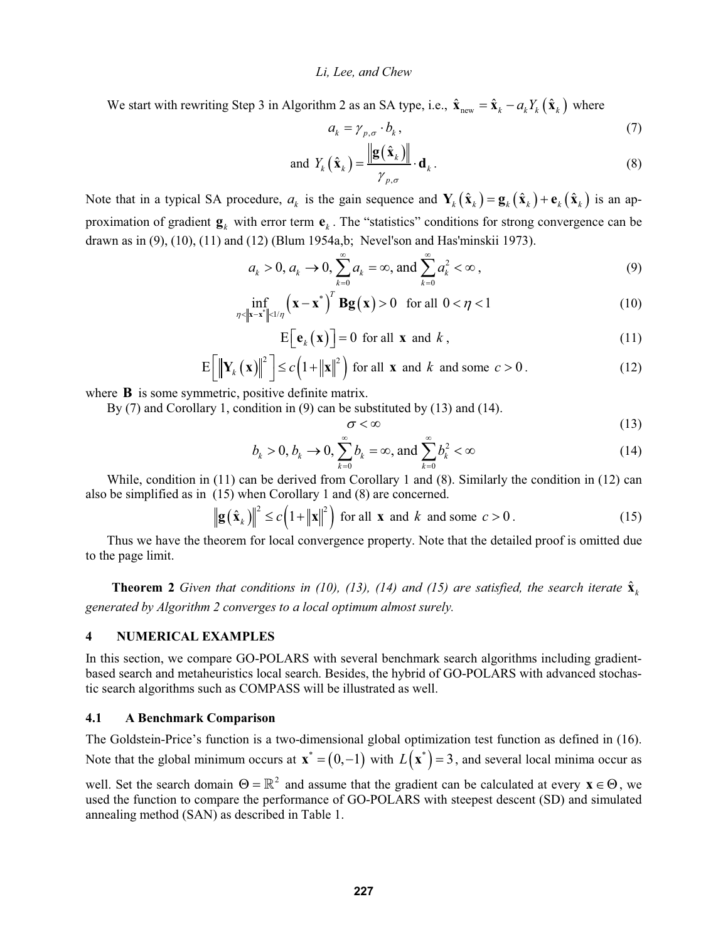We start with rewriting Step 3 in Algorithm 2 as an SA type, i.e.,  $\hat{\mathbf{x}}_{new} = \hat{\mathbf{x}}_k - a_k Y_k (\hat{\mathbf{x}}_k)$  where

$$
a_k = \gamma_{p,\sigma} \cdot b_k, \tag{7}
$$

and 
$$
Y_k(\hat{\mathbf{x}}_k) = \frac{\|\mathbf{g}(\hat{\mathbf{x}}_k)\|}{\gamma_{p,\sigma}} \cdot \mathbf{d}_k
$$
. (8)

Note that in a typical SA procedure,  $a_k$  is the gain sequence and  $\mathbf{Y}_k(\hat{\mathbf{x}}_k) = \mathbf{g}_k(\hat{\mathbf{x}}_k) + \mathbf{e}_k(\hat{\mathbf{x}}_k)$  is an approximation of gradient  $\mathbf{g}_k$  with error term  $\mathbf{e}_k$ . The "statistics" conditions for strong convergence can be drawn as in (9), (10), (11) and (12) (Blum 1954a,b; Nevel'son and Has'minskii 1973).

$$
a_k > 0, a_k \to 0, \sum_{k=0}^{\infty} a_k = \infty, \text{ and } \sum_{k=0}^{\infty} a_k^2 < \infty,
$$
 (9)

$$
\inf_{\eta < \|\mathbf{x} - \mathbf{x}^*\| < 1/\eta} \left(\mathbf{x} - \mathbf{x}^*\right)^T \mathbf{Bg}(\mathbf{x}) > 0 \quad \text{for all } 0 < \eta < 1 \tag{10}
$$

$$
E\big[\mathbf{e}_k\big(\mathbf{x}\big)\big]=0 \text{ for all } \mathbf{x} \text{ and } k\,,\tag{11}
$$

$$
E\left[\left\|\mathbf{Y}_{k}\left(\mathbf{x}\right)\right\|^{2}\right] \leq c\left(1+\left\|\mathbf{x}\right\|^{2}\right) \text{ for all } \mathbf{x} \text{ and } k \text{ and some } c > 0. \tag{12}
$$

where **B** is some symmetric, positive definite matrix.

By (7) and Corollary 1, condition in (9) can be substituted by (13) and (14).

$$
\sigma < \infty \tag{13}
$$

$$
b_k > 0, b_k \to 0, \sum_{k=0}^{\infty} b_k = \infty, \text{ and } \sum_{k=0}^{\infty} b_k^2 < \infty
$$
 (14)

While, condition in (11) can be derived from Corollary 1 and (8). Similarly the condition in (12) can also be simplified as in (15) when Corollary 1 and (8) are concerned.

 $\|\mathbf{g}(\hat{\mathbf{x}}_k)\|^2 \le c(1 + \|\mathbf{x}\|^2)$  for all **x** and *k* and some  $c > 0$ . (15)

Thus we have the theorem for local convergence property. Note that the detailed proof is omitted due to the page limit.

**Theorem 2** *Given that conditions in (10), (13), (14) and (15) are satisfied, the search iterate*  $\hat{\mathbf{x}}_k$ *generated by Algorithm 2 converges to a local optimum almost surely.*

# **4 NUMERICAL EXAMPLES**

In this section, we compare GO-POLARS with several benchmark search algorithms including gradientbased search and metaheuristics local search. Besides, the hybrid of GO-POLARS with advanced stochastic search algorithms such as COMPASS will be illustrated as well.

### **4.1 A Benchmark Comparison**

The Goldstein-Price's function is a two-dimensional global optimization test function as defined in (16). Note that the global minimum occurs at  $\mathbf{x}^* = (0,-1)$  with  $L(\mathbf{x}^*) = 3$ , and several local minima occur as

well. Set the search domain  $\Theta = \mathbb{R}^2$  and assume that the gradient can be calculated at every  $\mathbf{x} \in \Theta$ , we used the function to compare the performance of GO-POLARS with steepest descent (SD) and simulated annealing method (SAN) as described in Table 1.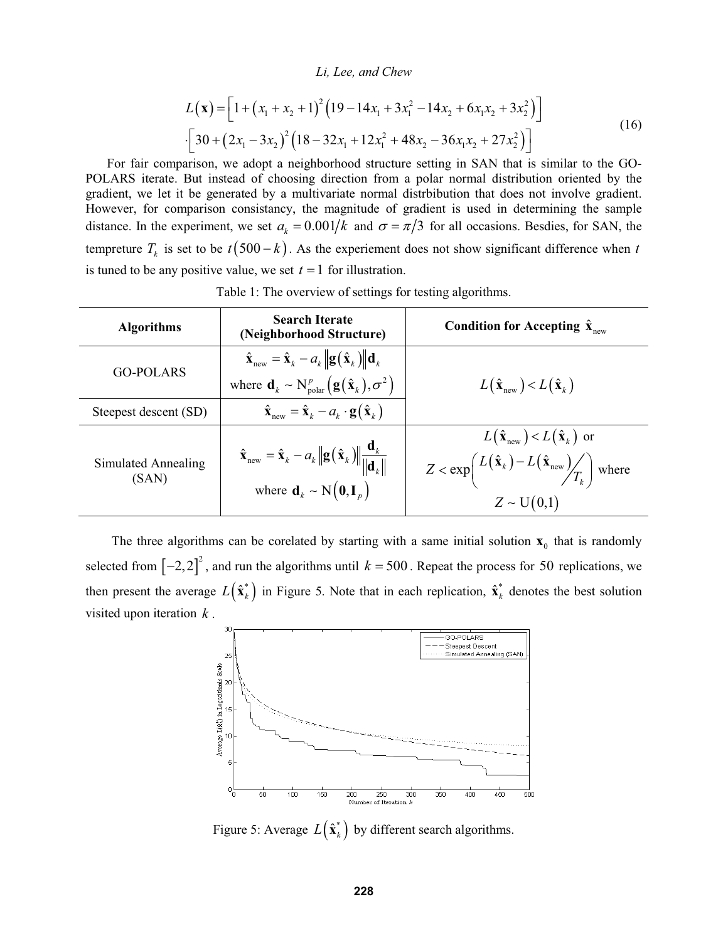$$
L(\mathbf{x}) = \left[1 + (x_1 + x_2 + 1)^2 (19 - 14x_1 + 3x_1^2 - 14x_2 + 6x_1x_2 + 3x_2^2)\right]
$$
  
 
$$
\cdot \left[30 + (2x_1 - 3x_2)^2 (18 - 32x_1 + 12x_1^2 + 48x_2 - 36x_1x_2 + 27x_2^2)\right]
$$
 (16)

For fair comparison, we adopt a neighborhood structure setting in SAN that is similar to the GO-POLARS iterate. But instead of choosing direction from a polar normal distribution oriented by the gradient, we let it be generated by a multivariate normal distrbibution that does not involve gradient. However, for comparison consistancy, the magnitude of gradient is used in determining the sample distance. In the experiment, we set  $a_k = 0.001/k$  and  $\sigma = \pi/3$  for all occasions. Besdies, for SAN, the tempreture  $T_k$  is set to be  $t(500 - k)$ . As the experiement does not show significant difference when *t* is tuned to be any positive value, we set  $t = 1$  for illustration.

| <b>Algorithms</b>            | <b>Search Iterate</b><br>(Neighborhood Structure)                                                                                                                                                                             | Condition for Accepting $\hat{\mathbf{x}}_{\text{new}}$                                                                                                                                 |
|------------------------------|-------------------------------------------------------------------------------------------------------------------------------------------------------------------------------------------------------------------------------|-----------------------------------------------------------------------------------------------------------------------------------------------------------------------------------------|
| GO-POLARS                    | $\hat{\mathbf{x}}_{\text{new}} = \hat{\mathbf{x}}_k - a_k \ \mathbf{g}(\hat{\mathbf{x}}_k)\  \mathbf{d}_k$<br>where $\mathbf{d}_k \sim N_{\text{polar}}^p \left( \mathbf{g}(\hat{\mathbf{x}}_k), \sigma^2 \right)$            | $L(\hat{\mathbf{x}}_{\text{new}}) < L(\hat{\mathbf{x}}_{k})$                                                                                                                            |
| Steepest descent (SD)        | $\hat{\mathbf{x}}_{\text{new}} = \hat{\mathbf{x}}_k - a_k \cdot \mathbf{g}(\hat{\mathbf{x}}_k)$                                                                                                                               |                                                                                                                                                                                         |
| Simulated Annealing<br>(SAN) | $\hat{\mathbf{x}}_{\text{new}} = \hat{\mathbf{x}}_k - a_k \left\  \mathbf{g}(\hat{\mathbf{x}}_k) \right\  \frac{\mathbf{d}_k}{\left\  \mathbf{d}_k \right\ }$<br>where $\mathbf{d}_k \sim \text{N}(\mathbf{0}, \mathbf{I}_n)$ | $L(\hat{\mathbf{x}}_{\text{new}}) < L(\hat{\mathbf{x}}_{k})$ or<br>$Z < \exp\left(\frac{L(\hat{\mathbf{x}}_k) - L(\hat{\mathbf{x}}_{\text{new}})}{T_k}\right)$ where<br>$Z \sim U(0,1)$ |

Table 1: The overview of settings for testing algorithms.

The three algorithms can be corelated by starting with a same initial solution  $\mathbf{x}_0$  that is randomly selected from  $[-2,2]^2$ , and run the algorithms until  $k = 500$ . Repeat the process for 50 replications, we then present the average  $L(\hat{\mathbf{x}}_k^*)$  in Figure 5. Note that in each replication,  $\hat{\mathbf{x}}_k^*$  denotes the best solution visited upon iteration *k* .



Figure 5: Average  $L(\hat{\mathbf{x}}_k^*)$  by different search algorithms.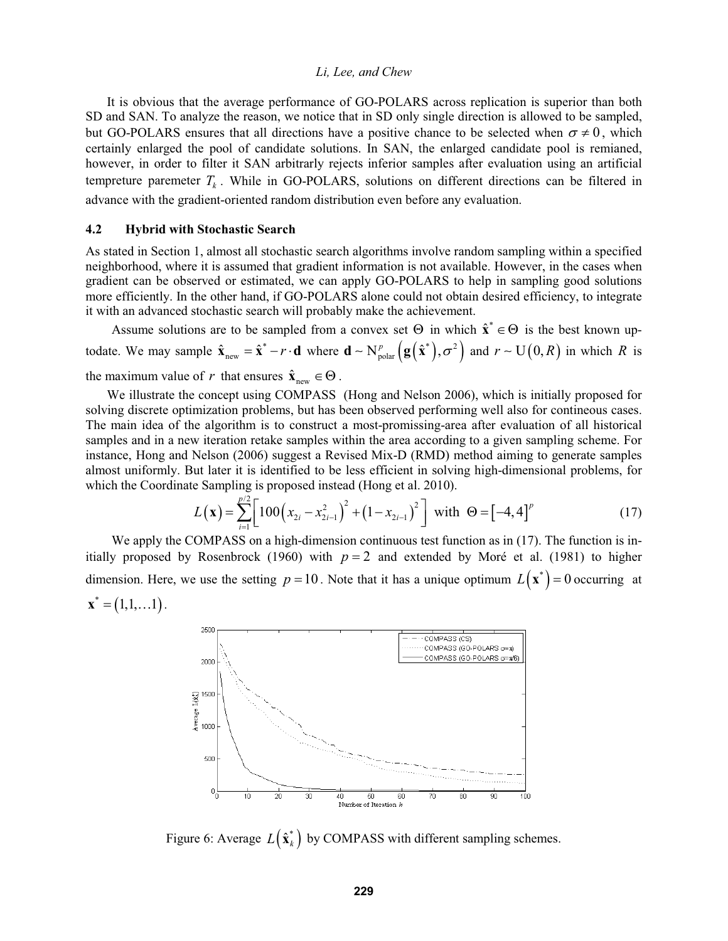It is obvious that the average performance of GO-POLARS across replication is superior than both SD and SAN. To analyze the reason, we notice that in SD only single direction is allowed to be sampled, but GO-POLARS ensures that all directions have a positive chance to be selected when  $\sigma \neq 0$ , which certainly enlarged the pool of candidate solutions. In SAN, the enlarged candidate pool is remianed, however, in order to filter it SAN arbitrarly rejects inferior samples after evaluation using an artificial tempreture paremeter  $T_k$ . While in GO-POLARS, solutions on different directions can be filtered in advance with the gradient-oriented random distribution even before any evaluation.

### **4.2 Hybrid with Stochastic Search**

As stated in Section 1, almost all stochastic search algorithms involve random sampling within a specified neighborhood, where it is assumed that gradient information is not available. However, in the cases when gradient can be observed or estimated, we can apply GO-POLARS to help in sampling good solutions more efficiently. In the other hand, if GO-POLARS alone could not obtain desired efficiency, to integrate it with an advanced stochastic search will probably make the achievement.

Assume solutions are to be sampled from a convex set  $\Theta$  in which  $\hat{\mathbf{x}}^* \in \Theta$  is the best known uptodate. We may sample  $\hat{\mathbf{x}}_{new} = \hat{\mathbf{x}}^* - r \cdot \mathbf{d}$  where  $\mathbf{d} \sim N_{polar}^p \left( \mathbf{g}(\hat{\mathbf{x}}^*) , \sigma^2 \right)$  and  $r \sim U(0, R)$  in which R is the maximum value of *r* that ensures  $\hat{\mathbf{x}}_{\text{new}} \in \Theta$ .

We illustrate the concept using COMPASS (Hong and Nelson 2006), which is initially proposed for solving discrete optimization problems, but has been observed performing well also for contineous cases. The main idea of the algorithm is to construct a most-promissing-area after evaluation of all historical samples and in a new iteration retake samples within the area according to a given sampling scheme. For instance, Hong and Nelson (2006) suggest a Revised Mix-D (RMD) method aiming to generate samples almost uniformly. But later it is identified to be less efficient in solving high-dimensional problems, for which the Coordinate Sampling is proposed instead (Hong et al. 2010).

$$
L(\mathbf{x}) = \sum_{i=1}^{p/2} \left[ 100 \left( x_{2i} - x_{2i-1}^2 \right)^2 + \left( 1 - x_{2i-1} \right)^2 \right] \text{ with } \Theta = \left[ -4, 4 \right]^p \tag{17}
$$

We apply the COMPASS on a high-dimension continuous test function as in (17). The function is initially proposed by Rosenbrock (1960) with  $p = 2$  and extended by Moré et al. (1981) to higher dimension. Here, we use the setting  $p = 10$ . Note that it has a unique optimum  $L(\mathbf{x}^*) = 0$  occurring at  $\mathbf{x}^* = (1,1,...1)$ .



Figure 6: Average  $L(\hat{\mathbf{x}}_k^*)$  by COMPASS with different sampling schemes.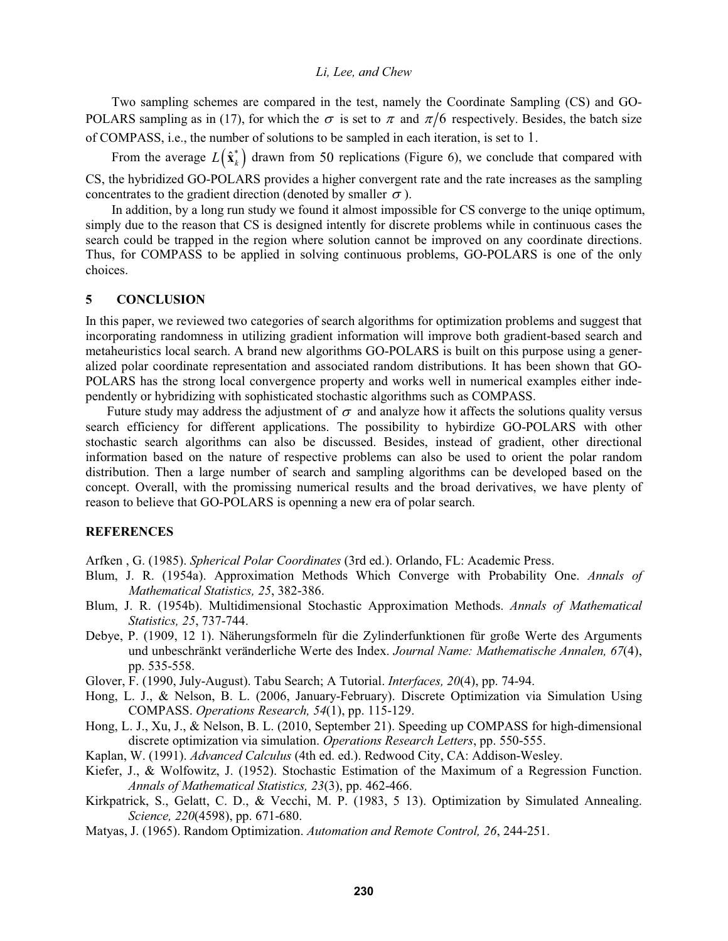Two sampling schemes are compared in the test, namely the Coordinate Sampling (CS) and GO-POLARS sampling as in (17), for which the  $\sigma$  is set to  $\pi$  and  $\pi/6$  respectively. Besides, the batch size of COMPASS, i.e., the number of solutions to be sampled in each iteration, is set to 1.

From the average  $L(\hat{\mathbf{x}}_k^*)$  drawn from 50 replications (Figure 6), we conclude that compared with CS, the hybridized GO-POLARS provides a higher convergent rate and the rate increases as the sampling concentrates to the gradient direction (denoted by smaller  $\sigma$ ).

In addition, by a long run study we found it almost impossible for CS converge to the uniqe optimum, simply due to the reason that CS is designed intently for discrete problems while in continuous cases the search could be trapped in the region where solution cannot be improved on any coordinate directions. Thus, for COMPASS to be applied in solving continuous problems, GO-POLARS is one of the only choices.

### **5 CONCLUSION**

In this paper, we reviewed two categories of search algorithms for optimization problems and suggest that incorporating randomness in utilizing gradient information will improve both gradient-based search and metaheuristics local search. A brand new algorithms GO-POLARS is built on this purpose using a generalized polar coordinate representation and associated random distributions. It has been shown that GO-POLARS has the strong local convergence property and works well in numerical examples either independently or hybridizing with sophisticated stochastic algorithms such as COMPASS.

Future study may address the adjustment of  $\sigma$  and analyze how it affects the solutions quality versus search efficiency for different applications. The possibility to hybirdize GO-POLARS with other stochastic search algorithms can also be discussed. Besides, instead of gradient, other directional information based on the nature of respective problems can also be used to orient the polar random distribution. Then a large number of search and sampling algorithms can be developed based on the concept. Overall, with the promissing numerical results and the broad derivatives, we have plenty of reason to believe that GO-POLARS is openning a new era of polar search.

# **REFERENCES**

Arfken , G. (1985). *Spherical Polar Coordinates* (3rd ed.). Orlando, FL: Academic Press.

- Blum, J. R. (1954a). Approximation Methods Which Converge with Probability One. *Annals of Mathematical Statistics, 25*, 382-386.
- Blum, J. R. (1954b). Multidimensional Stochastic Approximation Methods. *Annals of Mathematical Statistics, 25*, 737-744.
- Debye, P. (1909, 12 1). Näherungsformeln für die Zylinderfunktionen für große Werte des Arguments und unbeschränkt veränderliche Werte des Index. *Journal Name: Mathematische Annalen, 67*(4), pp. 535-558.
- Glover, F. (1990, July-August). Tabu Search; A Tutorial. *Interfaces, 20*(4), pp. 74-94.
- Hong, L. J., & Nelson, B. L. (2006, January-February). Discrete Optimization via Simulation Using COMPASS. *Operations Research, 54*(1), pp. 115-129.
- Hong, L. J., Xu, J., & Nelson, B. L. (2010, September 21). Speeding up COMPASS for high-dimensional discrete optimization via simulation. *Operations Research Letters*, pp. 550-555.
- Kaplan, W. (1991). *Advanced Calculus* (4th ed. ed.). Redwood City, CA: Addison-Wesley.
- Kiefer, J., & Wolfowitz, J. (1952). Stochastic Estimation of the Maximum of a Regression Function. *Annals of Mathematical Statistics, 23*(3), pp. 462-466.
- Kirkpatrick, S., Gelatt, C. D., & Vecchi, M. P. (1983, 5 13). Optimization by Simulated Annealing. *Science, 220*(4598), pp. 671-680.
- Matyas, J. (1965). Random Optimization. *Automation and Remote Control, 26*, 244-251.